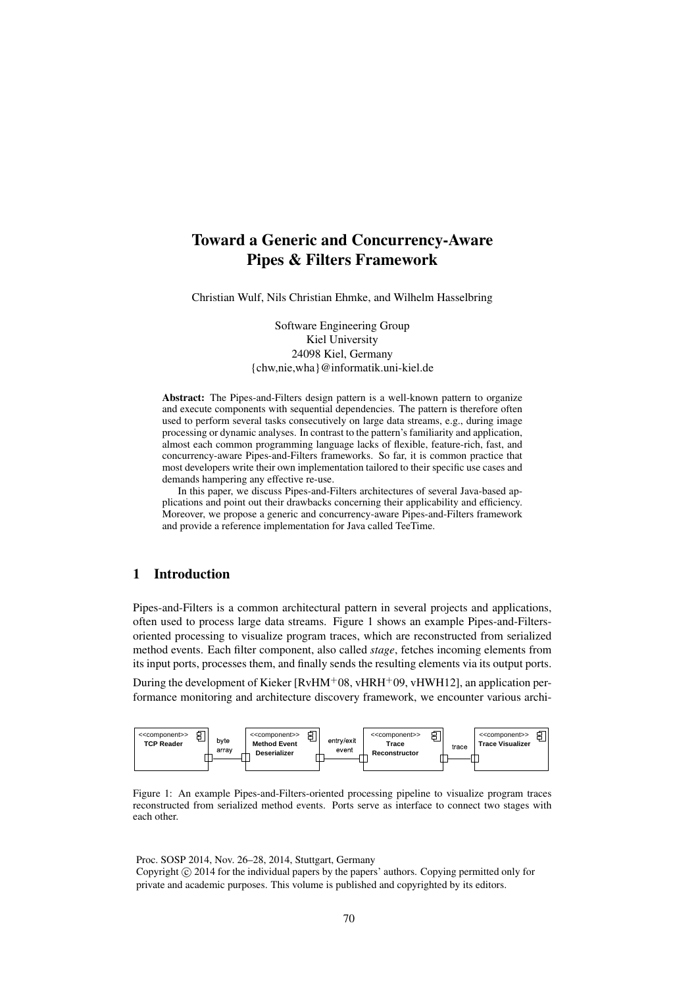# Toward a Generic and Concurrency-Aware Pipes & Filters Framework

Christian Wulf, Nils Christian Ehmke, and Wilhelm Hasselbring

Software Engineering Group Kiel University 24098 Kiel, Germany {chw,nie,wha}@informatik.uni-kiel.de

Abstract: The Pipes-and-Filters design pattern is a well-known pattern to organize and execute components with sequential dependencies. The pattern is therefore often used to perform several tasks consecutively on large data streams, e.g., during image processing or dynamic analyses. In contrast to the pattern's familiarity and application, almost each common programming language lacks of flexible, feature-rich, fast, and concurrency-aware Pipes-and-Filters frameworks. So far, it is common practice that most developers write their own implementation tailored to their specific use cases and demands hampering any effective re-use.

In this paper, we discuss Pipes-and-Filters architectures of several Java-based applications and point out their drawbacks concerning their applicability and efficiency. Moreover, we propose a generic and concurrency-aware Pipes-and-Filters framework and provide a reference implementation for Java called TeeTime.

# 1 Introduction

Pipes-and-Filters is a common architectural pattern in several projects and applications, often used to process large data streams. Figure 1 shows an example Pipes-and-Filtersoriented processing to visualize program traces, which are reconstructed from serialized method events. Each filter component, also called *stage*, fetches incoming elements from its input ports, processes them, and finally sends the resulting elements via its output ports.

During the development of Kieker [ $RvHM+08$ ,  $vHRH+09$ ,  $vHWH12$ ], an application performance monitoring and architecture discovery framework, we encounter various archi-



Figure 1: An example Pipes-and-Filters-oriented processing pipeline to visualize program traces reconstructed from serialized method events. Ports serve as interface to connect two stages with each other.

Proc. SOSP 2014, Nov. 26–28, 2014, Stuttgart, Germany Copyright  $\circled{c}$  2014 for the individual papers by the papers' authors. Copying permitted only for private and academic purposes. This volume is published and copyrighted by its editors.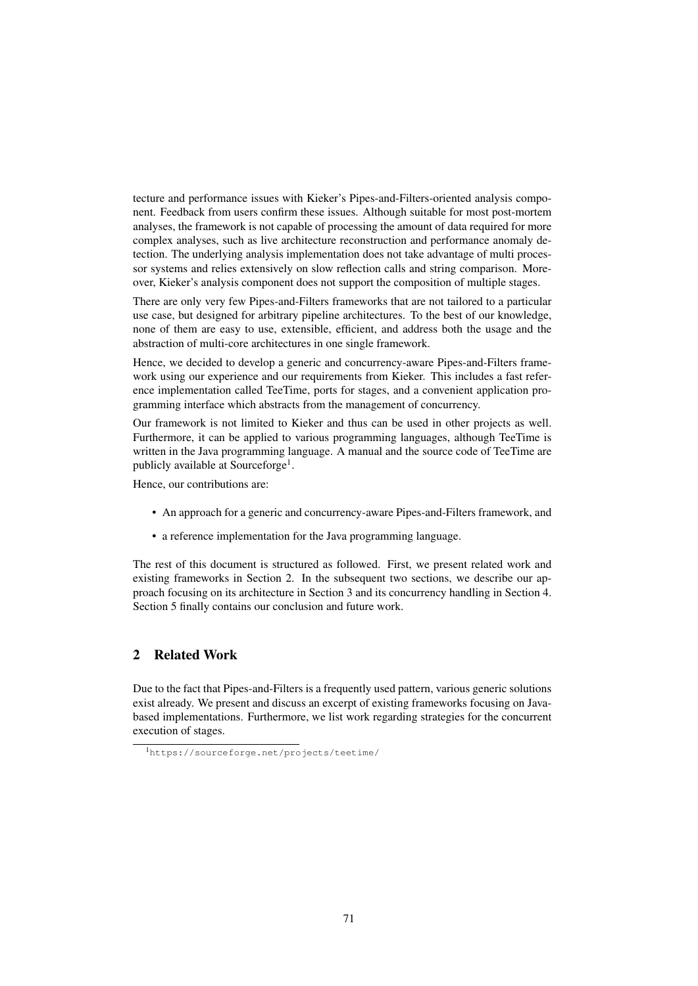tecture and performance issues with Kieker's Pipes-and-Filters-oriented analysis component. Feedback from users confirm these issues. Although suitable for most post-mortem analyses, the framework is not capable of processing the amount of data required for more complex analyses, such as live architecture reconstruction and performance anomaly detection. The underlying analysis implementation does not take advantage of multi processor systems and relies extensively on slow reflection calls and string comparison. Moreover, Kieker's analysis component does not support the composition of multiple stages.

There are only very few Pipes-and-Filters frameworks that are not tailored to a particular use case, but designed for arbitrary pipeline architectures. To the best of our knowledge, none of them are easy to use, extensible, efficient, and address both the usage and the abstraction of multi-core architectures in one single framework.

Hence, we decided to develop a generic and concurrency-aware Pipes-and-Filters framework using our experience and our requirements from Kieker. This includes a fast reference implementation called TeeTime, ports for stages, and a convenient application programming interface which abstracts from the management of concurrency.

Our framework is not limited to Kieker and thus can be used in other projects as well. Furthermore, it can be applied to various programming languages, although TeeTime is written in the Java programming language. A manual and the source code of TeeTime are publicly available at Sourceforge<sup>1</sup>.

Hence, our contributions are:

- An approach for a generic and concurrency-aware Pipes-and-Filters framework, and
- a reference implementation for the Java programming language.

The rest of this document is structured as followed. First, we present related work and existing frameworks in Section 2. In the subsequent two sections, we describe our approach focusing on its architecture in Section 3 and its concurrency handling in Section 4. Section 5 finally contains our conclusion and future work.

# 2 Related Work

Due to the fact that Pipes-and-Filters is a frequently used pattern, various generic solutions exist already. We present and discuss an excerpt of existing frameworks focusing on Javabased implementations. Furthermore, we list work regarding strategies for the concurrent execution of stages.

<sup>1</sup>https://sourceforge.net/projects/teetime/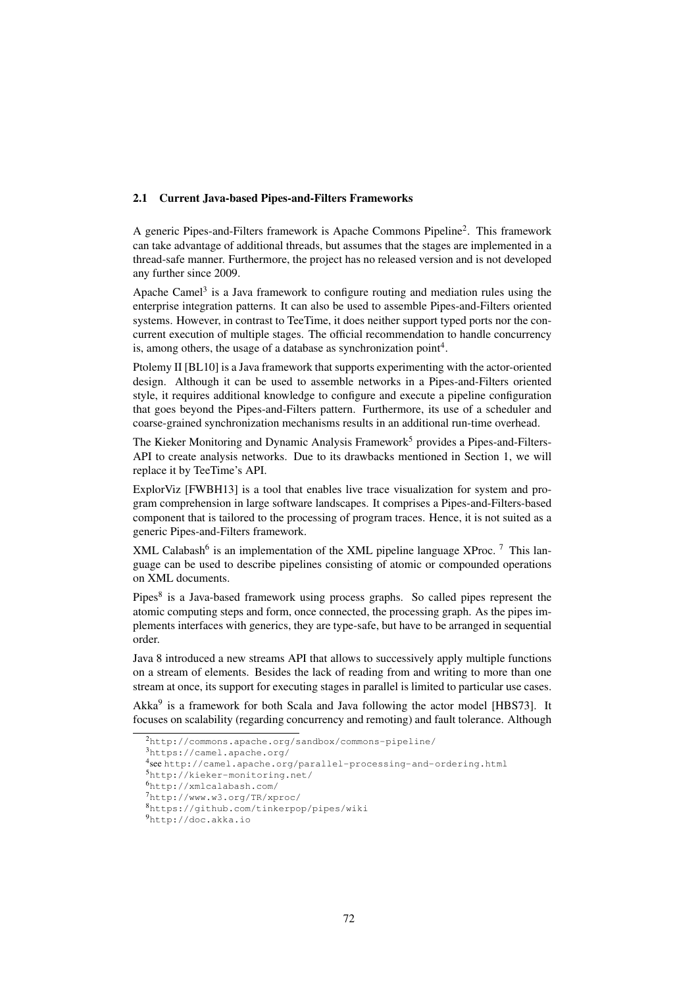#### 2.1 Current Java-based Pipes-and-Filters Frameworks

A generic Pipes-and-Filters framework is Apache Commons Pipeline<sup>2</sup>. This framework can take advantage of additional threads, but assumes that the stages are implemented in a thread-safe manner. Furthermore, the project has no released version and is not developed any further since 2009.

Apache Camel<sup>3</sup> is a Java framework to configure routing and mediation rules using the enterprise integration patterns. It can also be used to assemble Pipes-and-Filters oriented systems. However, in contrast to TeeTime, it does neither support typed ports nor the concurrent execution of multiple stages. The official recommendation to handle concurrency is, among others, the usage of a database as synchronization point<sup>4</sup>.

Ptolemy II [BL10] is a Java framework that supports experimenting with the actor-oriented design. Although it can be used to assemble networks in a Pipes-and-Filters oriented style, it requires additional knowledge to configure and execute a pipeline configuration that goes beyond the Pipes-and-Filters pattern. Furthermore, its use of a scheduler and coarse-grained synchronization mechanisms results in an additional run-time overhead.

The Kieker Monitoring and Dynamic Analysis Framework<sup>5</sup> provides a Pipes-and-Filters-API to create analysis networks. Due to its drawbacks mentioned in Section 1, we will replace it by TeeTime's API.

ExplorViz [FWBH13] is a tool that enables live trace visualization for system and program comprehension in large software landscapes. It comprises a Pipes-and-Filters-based component that is tailored to the processing of program traces. Hence, it is not suited as a generic Pipes-and-Filters framework.

 $XML$  Calabash<sup>6</sup> is an implementation of the XML pipeline language XProc.<sup>7</sup> This language can be used to describe pipelines consisting of atomic or compounded operations on XML documents.

Pipes<sup>8</sup> is a Java-based framework using process graphs. So called pipes represent the atomic computing steps and form, once connected, the processing graph. As the pipes implements interfaces with generics, they are type-safe, but have to be arranged in sequential order.

Java 8 introduced a new streams API that allows to successively apply multiple functions on a stream of elements. Besides the lack of reading from and writing to more than one stream at once, its support for executing stages in parallel is limited to particular use cases.

Akka<sup>9</sup> is a framework for both Scala and Java following the actor model [HBS73]. It focuses on scalability (regarding concurrency and remoting) and fault tolerance. Although

<sup>2</sup>http://commons.apache.org/sandbox/commons-pipeline/

<sup>3</sup>https://camel.apache.org/

<sup>4</sup> see http://camel.apache.org/parallel-processing-and-ordering.html

<sup>5</sup>http://kieker-monitoring.net/

<sup>6</sup>http://xmlcalabash.com/

<sup>7</sup>http://www.w3.org/TR/xproc/

<sup>8</sup>https://github.com/tinkerpop/pipes/wiki

<sup>9</sup>http://doc.akka.io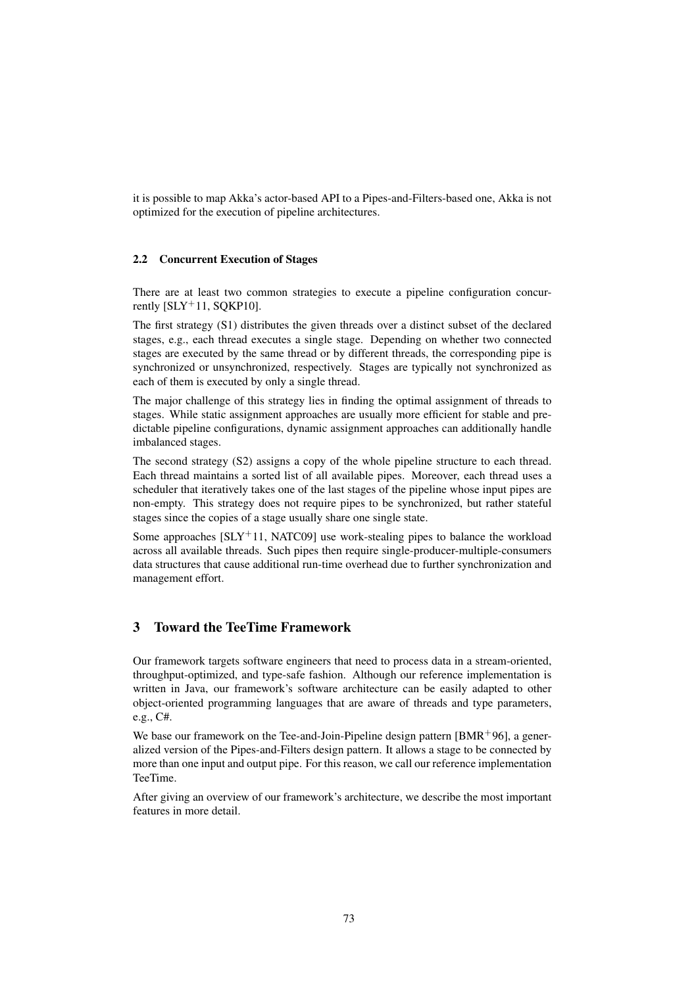it is possible to map Akka's actor-based API to a Pipes-and-Filters-based one, Akka is not optimized for the execution of pipeline architectures.

#### 2.2 Concurrent Execution of Stages

There are at least two common strategies to execute a pipeline configuration concurrently  $[SLY^+11, SOKP10]$ .

The first strategy (S1) distributes the given threads over a distinct subset of the declared stages, e.g., each thread executes a single stage. Depending on whether two connected stages are executed by the same thread or by different threads, the corresponding pipe is synchronized or unsynchronized, respectively. Stages are typically not synchronized as each of them is executed by only a single thread.

The major challenge of this strategy lies in finding the optimal assignment of threads to stages. While static assignment approaches are usually more efficient for stable and predictable pipeline configurations, dynamic assignment approaches can additionally handle imbalanced stages.

The second strategy (S2) assigns a copy of the whole pipeline structure to each thread. Each thread maintains a sorted list of all available pipes. Moreover, each thread uses a scheduler that iteratively takes one of the last stages of the pipeline whose input pipes are non-empty. This strategy does not require pipes to be synchronized, but rather stateful stages since the copies of a stage usually share one single state.

Some approaches  $[SLY^+11, NATCO9]$  use work-stealing pipes to balance the workload across all available threads. Such pipes then require single-producer-multiple-consumers data structures that cause additional run-time overhead due to further synchronization and management effort.

# 3 Toward the TeeTime Framework

Our framework targets software engineers that need to process data in a stream-oriented, throughput-optimized, and type-safe fashion. Although our reference implementation is written in Java, our framework's software architecture can be easily adapted to other object-oriented programming languages that are aware of threads and type parameters, e.g., C#.

We base our framework on the Tee-and-Join-Pipeline design pattern  $[BMR+96]$ , a generalized version of the Pipes-and-Filters design pattern. It allows a stage to be connected by more than one input and output pipe. For this reason, we call our reference implementation TeeTime.

After giving an overview of our framework's architecture, we describe the most important features in more detail.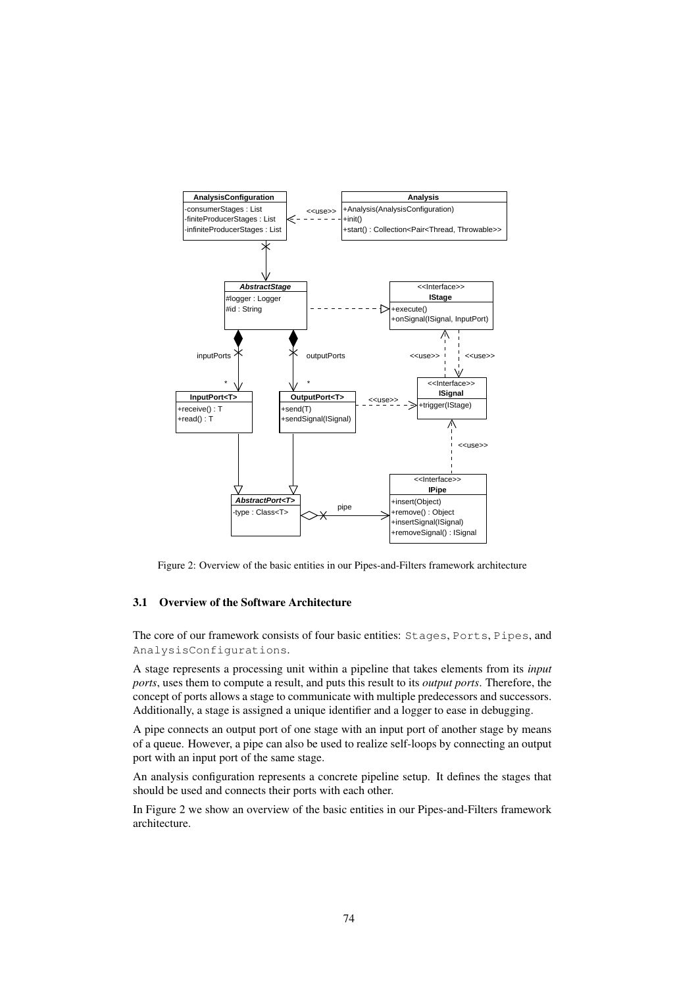

Figure 2: Overview of the basic entities in our Pipes-and-Filters framework architecture

#### 3.1 Overview of the Software Architecture

The core of our framework consists of four basic entities: Stages, Ports, Pipes, and AnalysisConfigurations.

A stage represents a processing unit within a pipeline that takes elements from its *input ports*, uses them to compute a result, and puts this result to its *output ports*. Therefore, the concept of ports allows a stage to communicate with multiple predecessors and successors. Additionally, a stage is assigned a unique identifier and a logger to ease in debugging.

A pipe connects an output port of one stage with an input port of another stage by means of a queue. However, a pipe can also be used to realize self-loops by connecting an output port with an input port of the same stage.

An analysis configuration represents a concrete pipeline setup. It defines the stages that should be used and connects their ports with each other.

In Figure 2 we show an overview of the basic entities in our Pipes-and-Filters framework architecture.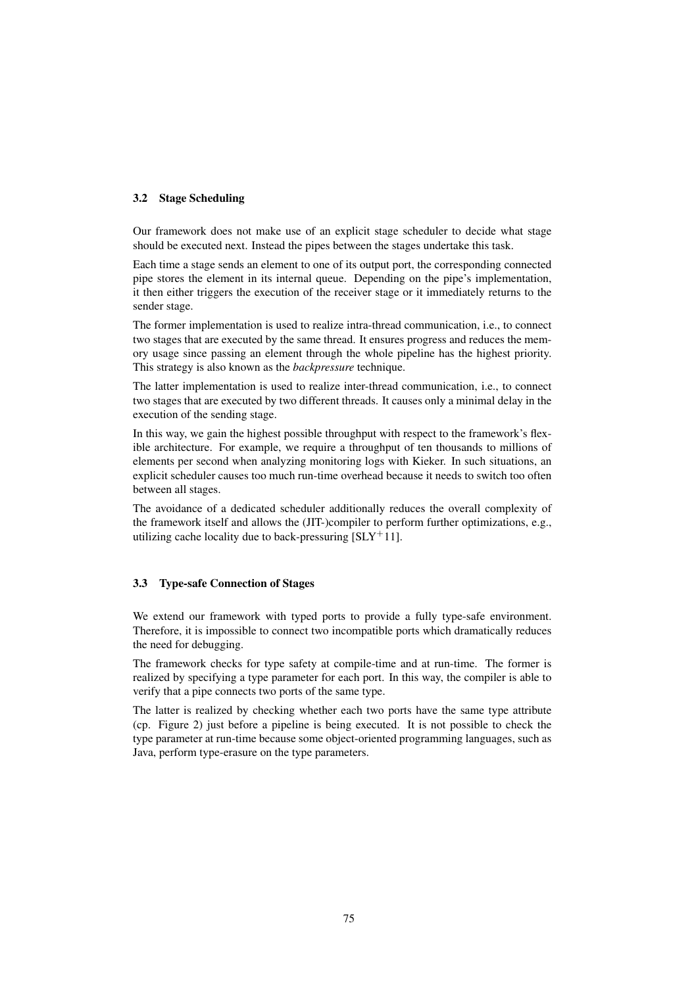#### 3.2 Stage Scheduling

Our framework does not make use of an explicit stage scheduler to decide what stage should be executed next. Instead the pipes between the stages undertake this task.

Each time a stage sends an element to one of its output port, the corresponding connected pipe stores the element in its internal queue. Depending on the pipe's implementation, it then either triggers the execution of the receiver stage or it immediately returns to the sender stage.

The former implementation is used to realize intra-thread communication, i.e., to connect two stages that are executed by the same thread. It ensures progress and reduces the memory usage since passing an element through the whole pipeline has the highest priority. This strategy is also known as the *backpressure* technique.

The latter implementation is used to realize inter-thread communication, i.e., to connect two stages that are executed by two different threads. It causes only a minimal delay in the execution of the sending stage.

In this way, we gain the highest possible throughput with respect to the framework's flexible architecture. For example, we require a throughput of ten thousands to millions of elements per second when analyzing monitoring logs with Kieker. In such situations, an explicit scheduler causes too much run-time overhead because it needs to switch too often between all stages.

The avoidance of a dedicated scheduler additionally reduces the overall complexity of the framework itself and allows the (JIT-)compiler to perform further optimizations, e.g., utilizing cache locality due to back-pressuring  $[SLY^+11]$ .

#### 3.3 Type-safe Connection of Stages

We extend our framework with typed ports to provide a fully type-safe environment. Therefore, it is impossible to connect two incompatible ports which dramatically reduces the need for debugging.

The framework checks for type safety at compile-time and at run-time. The former is realized by specifying a type parameter for each port. In this way, the compiler is able to verify that a pipe connects two ports of the same type.

The latter is realized by checking whether each two ports have the same type attribute (cp. Figure 2) just before a pipeline is being executed. It is not possible to check the type parameter at run-time because some object-oriented programming languages, such as Java, perform type-erasure on the type parameters.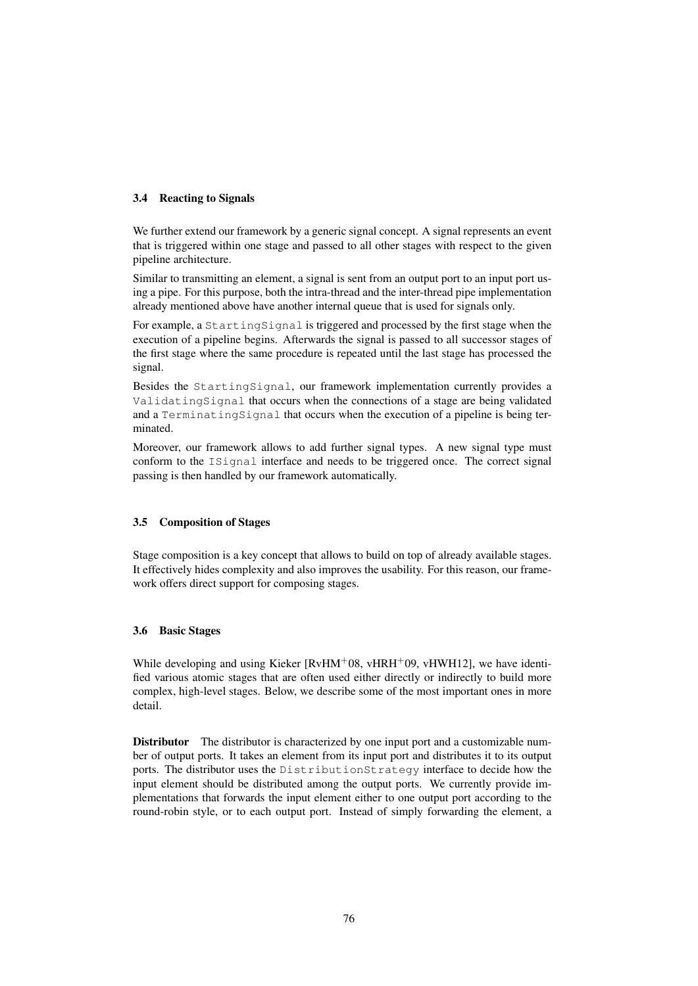## 3.4 Reacting to Signals

We further extend our framework by a generic signal concept. A signal represents an event that is triggered within one stage and passed to all other stages with respect to the given pipeline architecture.

Similar to transmitting an element, a signal is sent from an output port to an input port using a pipe. For this purpose, both the intra-thread and the inter-thread pipe implementation already mentioned above have another internal queue that is used for signals only.

For example, a StartingSignal is triggered and processed by the first stage when the execution of a pipeline begins. Afterwards the signal is passed to all successor stages of the first stage where the same procedure is repeated until the last stage has processed the signal.

Besides the StartingSignal, our framework implementation currently provides a ValidatingSignal that occurs when the connections of a stage are being validated and a TerminatingSignal that occurs when the execution of a pipeline is being terminated.

Moreover, our framework allows to add further signal types. A new signal type must conform to the ISignal interface and needs to be triggered once. The correct signal passing is then handled by our framework automatically.

## 3.5 Composition of Stages

Stage composition is a key concept that allows to build on top of already available stages. It effectively hides complexity and also improves the usability. For this reason, our framework offers direct support for composing stages.

## 3.6 Basic Stages

While developing and using Kieker  $[RvHM+08, vHRH+09, vHWH12]$ , we have identified various atomic stages that are often used either directly or indirectly to build more complex, high-level stages. Below, we describe some of the most important ones in more detail.

Distributor The distributor is characterized by one input port and a customizable number of output ports. It takes an element from its input port and distributes it to its output ports. The distributor uses the DistributionStrategy interface to decide how the input element should be distributed among the output ports. We currently provide implementations that forwards the input element either to one output port according to the round-robin style, or to each output port. Instead of simply forwarding the element, a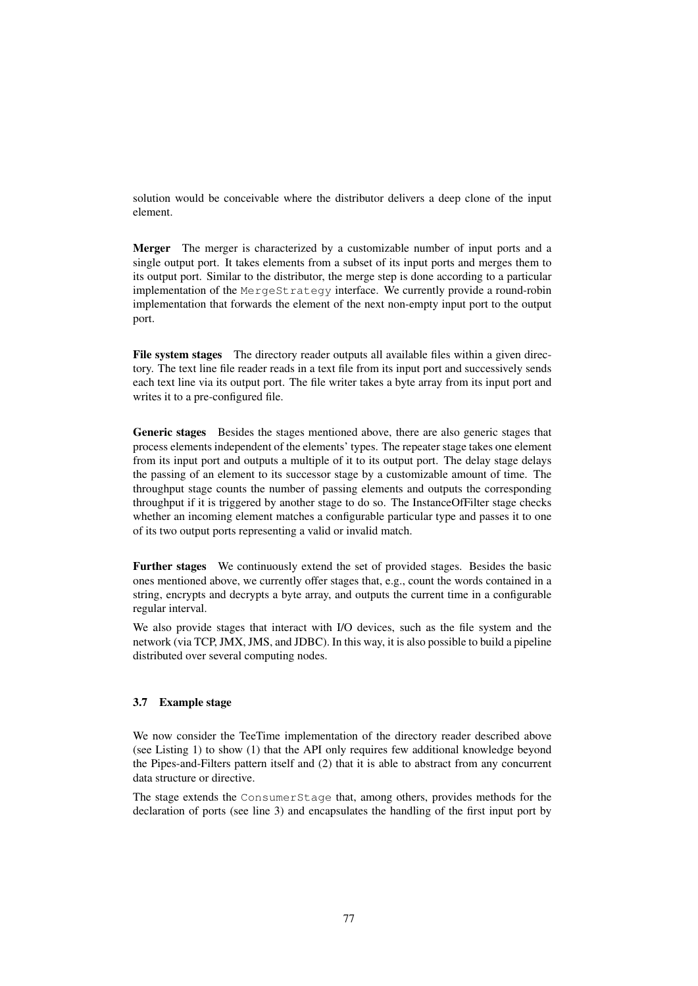solution would be conceivable where the distributor delivers a deep clone of the input element.

Merger The merger is characterized by a customizable number of input ports and a single output port. It takes elements from a subset of its input ports and merges them to its output port. Similar to the distributor, the merge step is done according to a particular implementation of the MergeStrategy interface. We currently provide a round-robin implementation that forwards the element of the next non-empty input port to the output port.

File system stages The directory reader outputs all available files within a given directory. The text line file reader reads in a text file from its input port and successively sends each text line via its output port. The file writer takes a byte array from its input port and writes it to a pre-configured file.

Generic stages Besides the stages mentioned above, there are also generic stages that process elements independent of the elements' types. The repeater stage takes one element from its input port and outputs a multiple of it to its output port. The delay stage delays the passing of an element to its successor stage by a customizable amount of time. The throughput stage counts the number of passing elements and outputs the corresponding throughput if it is triggered by another stage to do so. The InstanceOfFilter stage checks whether an incoming element matches a configurable particular type and passes it to one of its two output ports representing a valid or invalid match.

Further stages We continuously extend the set of provided stages. Besides the basic ones mentioned above, we currently offer stages that, e.g., count the words contained in a string, encrypts and decrypts a byte array, and outputs the current time in a configurable regular interval.

We also provide stages that interact with I/O devices, such as the file system and the network (via TCP, JMX, JMS, and JDBC). In this way, it is also possible to build a pipeline distributed over several computing nodes.

#### 3.7 Example stage

We now consider the TeeTime implementation of the directory reader described above (see Listing 1) to show (1) that the API only requires few additional knowledge beyond the Pipes-and-Filters pattern itself and (2) that it is able to abstract from any concurrent data structure or directive.

The stage extends the ConsumerStage that, among others, provides methods for the declaration of ports (see line 3) and encapsulates the handling of the first input port by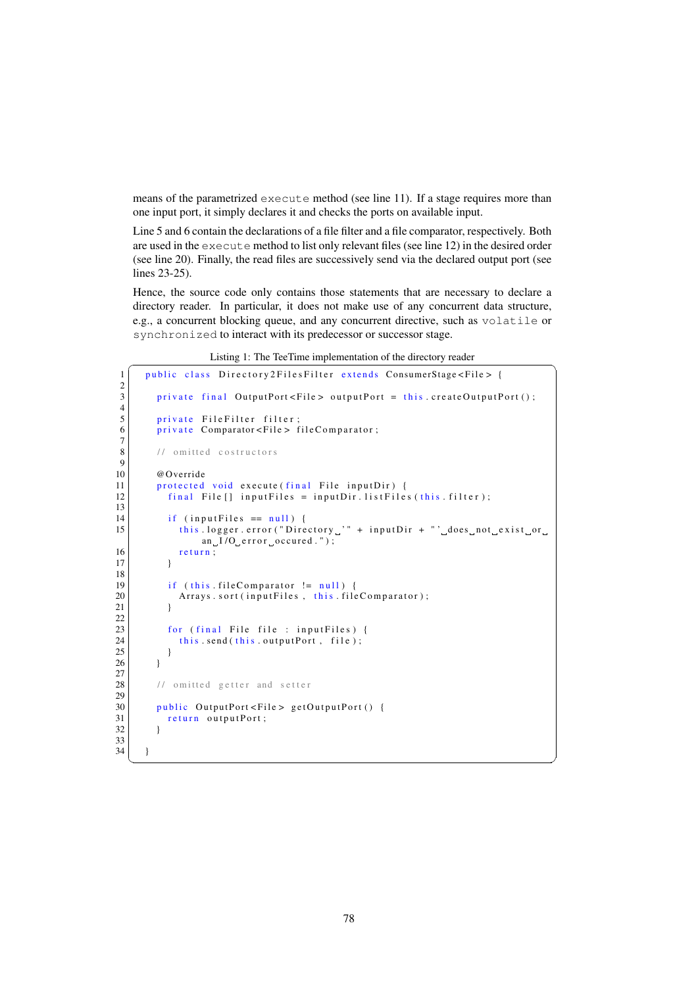means of the parametrized execute method (see line 11). If a stage requires more than one input port, it simply declares it and checks the ports on available input.

Line 5 and 6 contain the declarations of a file filter and a file comparator, respectively. Both are used in the execute method to list only relevant files (see line 12) in the desired order (see line 20). Finally, the read files are successively send via the declared output port (see lines 23-25).

Hence, the source code only contains those statements that are necessary to declare a directory reader. In particular, it does not make use of any concurrent data structure, e.g., a concurrent blocking queue, and any concurrent directive, such as volatile or synchronized to interact with its predecessor or successor stage.

Listing 1: The TeeTime implementation of the directory reader

```
1 public class Directory2FilesFilter extends ConsumerStage<File>{
 \frac{2}{3}private final OutputPort < File > outputPort = this createOutputPort ();
 4
 5 private FileFilter filter;<br>6 private Comparator<File> f
         \frac{1}{\text{private}} Comparator < File > file Comparator;
 7
 8 // omitted costructors
\frac{9}{10}@Override
11 protected void execute (final File input Dir) {
12 final File [] input Files = input Dir. list Files (this filter);
13
14 if (input Files = null) {<br>15 this.logger.error("Dire
              this.logger.error("Directory." + inputDir + "'.does.not.exist.or.
                   an_{u}I/O_{u} e r r o r u o c cured . " );
16 return;
17 }
\frac{18}{19}if (this. file Comparison != null)20 \begin{array}{c|c} \text{Arrays } . \text{ sort (inputFiles } , \text{ this } . \text{ file Comparison)} ; \end{array}21 }
22
23 for (final File file : input Files) {<br>
this send (this output Port, file);
              this send (this output Port, file);
25 }
26 }
\frac{27}{28}1/ omitted getter and setter
rac{29}{30}public OutputPort < File > getOutputPort () {
31 return outputPort;
32 }
33\n34\left\{ \right\}
```
 $\overline{\phantom{a}}$   $\overline{\phantom{a}}$   $\overline{\phantom{a}}$   $\overline{\phantom{a}}$   $\overline{\phantom{a}}$   $\overline{\phantom{a}}$   $\overline{\phantom{a}}$   $\overline{\phantom{a}}$   $\overline{\phantom{a}}$   $\overline{\phantom{a}}$   $\overline{\phantom{a}}$   $\overline{\phantom{a}}$   $\overline{\phantom{a}}$   $\overline{\phantom{a}}$   $\overline{\phantom{a}}$   $\overline{\phantom{a}}$   $\overline{\phantom{a}}$   $\overline{\phantom{a}}$   $\overline{\$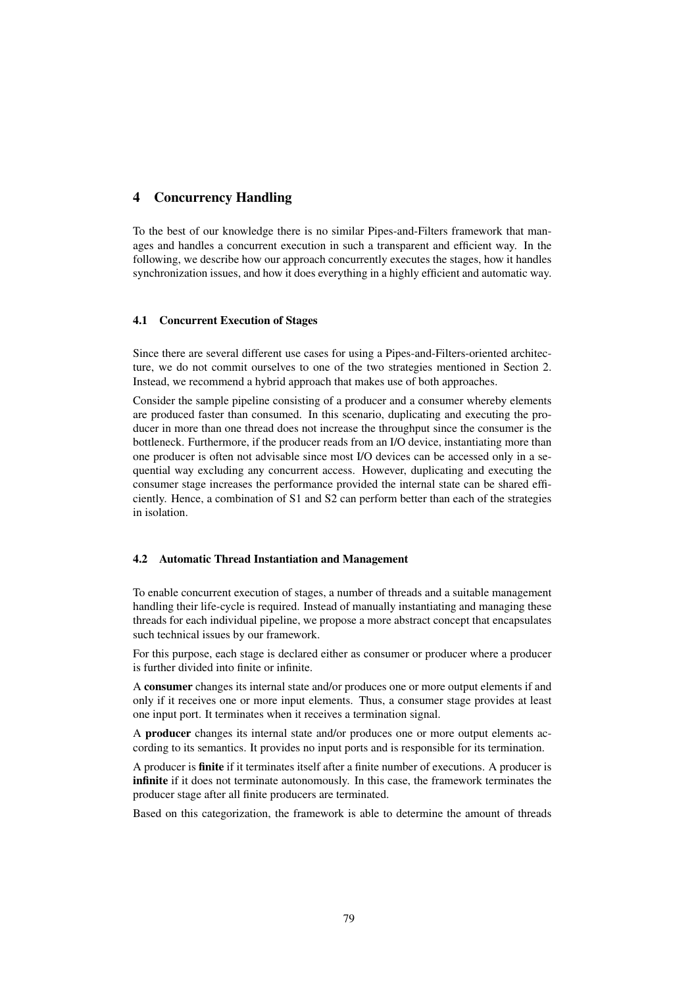# 4 Concurrency Handling

To the best of our knowledge there is no similar Pipes-and-Filters framework that manages and handles a concurrent execution in such a transparent and efficient way. In the following, we describe how our approach concurrently executes the stages, how it handles synchronization issues, and how it does everything in a highly efficient and automatic way.

#### 4.1 Concurrent Execution of Stages

Since there are several different use cases for using a Pipes-and-Filters-oriented architecture, we do not commit ourselves to one of the two strategies mentioned in Section 2. Instead, we recommend a hybrid approach that makes use of both approaches.

Consider the sample pipeline consisting of a producer and a consumer whereby elements are produced faster than consumed. In this scenario, duplicating and executing the producer in more than one thread does not increase the throughput since the consumer is the bottleneck. Furthermore, if the producer reads from an I/O device, instantiating more than one producer is often not advisable since most I/O devices can be accessed only in a sequential way excluding any concurrent access. However, duplicating and executing the consumer stage increases the performance provided the internal state can be shared efficiently. Hence, a combination of S1 and S2 can perform better than each of the strategies in isolation.

#### 4.2 Automatic Thread Instantiation and Management

To enable concurrent execution of stages, a number of threads and a suitable management handling their life-cycle is required. Instead of manually instantiating and managing these threads for each individual pipeline, we propose a more abstract concept that encapsulates such technical issues by our framework.

For this purpose, each stage is declared either as consumer or producer where a producer is further divided into finite or infinite.

A consumer changes its internal state and/or produces one or more output elements if and only if it receives one or more input elements. Thus, a consumer stage provides at least one input port. It terminates when it receives a termination signal.

A producer changes its internal state and/or produces one or more output elements according to its semantics. It provides no input ports and is responsible for its termination.

A producer is finite if it terminates itself after a finite number of executions. A producer is infinite if it does not terminate autonomously. In this case, the framework terminates the producer stage after all finite producers are terminated.

Based on this categorization, the framework is able to determine the amount of threads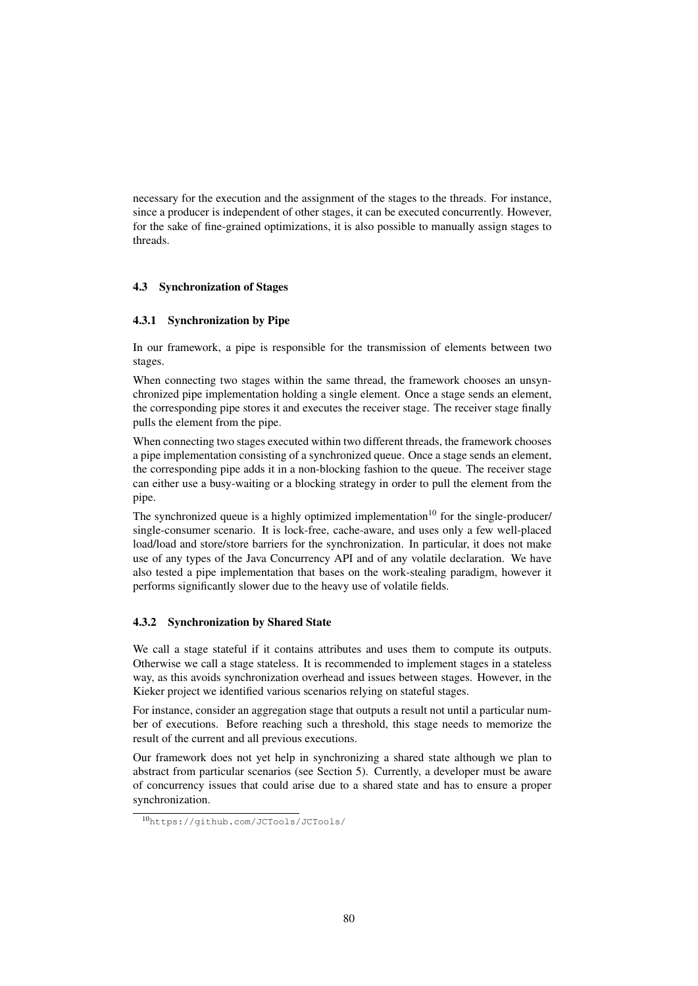necessary for the execution and the assignment of the stages to the threads. For instance, since a producer is independent of other stages, it can be executed concurrently. However, for the sake of fine-grained optimizations, it is also possible to manually assign stages to threads.

#### 4.3 Synchronization of Stages

#### 4.3.1 Synchronization by Pipe

In our framework, a pipe is responsible for the transmission of elements between two stages.

When connecting two stages within the same thread, the framework chooses an unsynchronized pipe implementation holding a single element. Once a stage sends an element, the corresponding pipe stores it and executes the receiver stage. The receiver stage finally pulls the element from the pipe.

When connecting two stages executed within two different threads, the framework chooses a pipe implementation consisting of a synchronized queue. Once a stage sends an element, the corresponding pipe adds it in a non-blocking fashion to the queue. The receiver stage can either use a busy-waiting or a blocking strategy in order to pull the element from the pipe.

The synchronized queue is a highly optimized implementation<sup>10</sup> for the single-producer/ single-consumer scenario. It is lock-free, cache-aware, and uses only a few well-placed load/load and store/store barriers for the synchronization. In particular, it does not make use of any types of the Java Concurrency API and of any volatile declaration. We have also tested a pipe implementation that bases on the work-stealing paradigm, however it performs significantly slower due to the heavy use of volatile fields.

#### 4.3.2 Synchronization by Shared State

We call a stage stateful if it contains attributes and uses them to compute its outputs. Otherwise we call a stage stateless. It is recommended to implement stages in a stateless way, as this avoids synchronization overhead and issues between stages. However, in the Kieker project we identified various scenarios relying on stateful stages.

For instance, consider an aggregation stage that outputs a result not until a particular number of executions. Before reaching such a threshold, this stage needs to memorize the result of the current and all previous executions.

Our framework does not yet help in synchronizing a shared state although we plan to abstract from particular scenarios (see Section 5). Currently, a developer must be aware of concurrency issues that could arise due to a shared state and has to ensure a proper synchronization.

<sup>10</sup>https://github.com/JCTools/JCTools/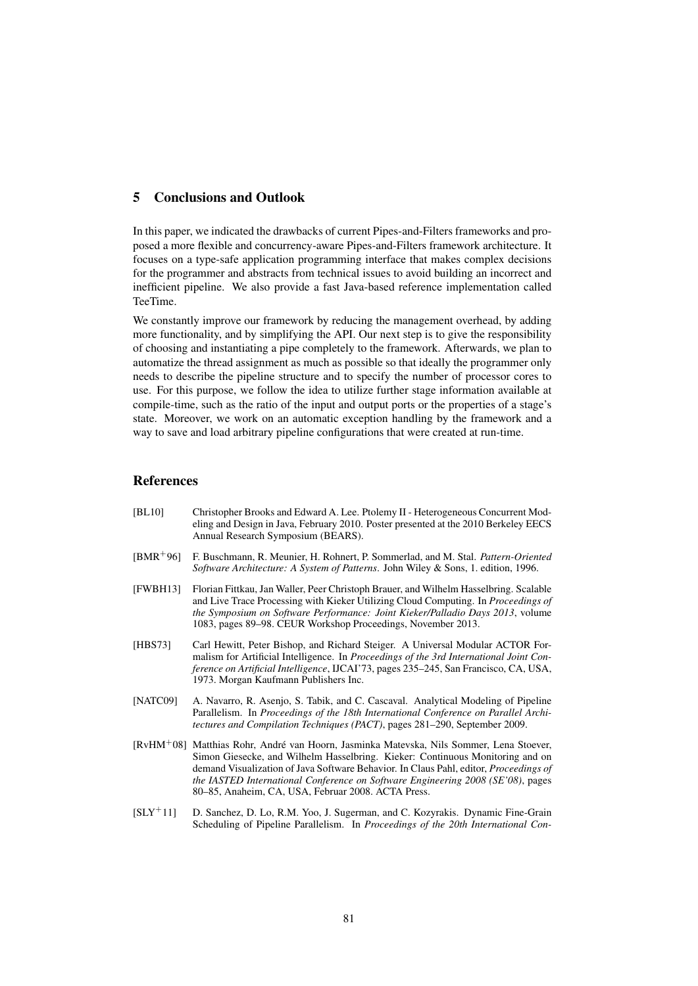# 5 Conclusions and Outlook

In this paper, we indicated the drawbacks of current Pipes-and-Filters frameworks and proposed a more flexible and concurrency-aware Pipes-and-Filters framework architecture. It focuses on a type-safe application programming interface that makes complex decisions for the programmer and abstracts from technical issues to avoid building an incorrect and inefficient pipeline. We also provide a fast Java-based reference implementation called TeeTime.

We constantly improve our framework by reducing the management overhead, by adding more functionality, and by simplifying the API. Our next step is to give the responsibility of choosing and instantiating a pipe completely to the framework. Afterwards, we plan to automatize the thread assignment as much as possible so that ideally the programmer only needs to describe the pipeline structure and to specify the number of processor cores to use. For this purpose, we follow the idea to utilize further stage information available at compile-time, such as the ratio of the input and output ports or the properties of a stage's state. Moreover, we work on an automatic exception handling by the framework and a way to save and load arbitrary pipeline configurations that were created at run-time.

## References

- [BL10] Christopher Brooks and Edward A. Lee. Ptolemy II Heterogeneous Concurrent Modeling and Design in Java, February 2010. Poster presented at the 2010 Berkeley EECS Annual Research Symposium (BEARS).
- [BMR<sup>+</sup>96] F. Buschmann, R. Meunier, H. Rohnert, P. Sommerlad, and M. Stal. *Pattern-Oriented Software Architecture: A System of Patterns*. John Wiley & Sons, 1. edition, 1996.
- [FWBH13] Florian Fittkau, Jan Waller, Peer Christoph Brauer, and Wilhelm Hasselbring. Scalable and Live Trace Processing with Kieker Utilizing Cloud Computing. In *Proceedings of the Symposium on Software Performance: Joint Kieker/Palladio Days 2013*, volume 1083, pages 89–98. CEUR Workshop Proceedings, November 2013.
- [HBS73] Carl Hewitt, Peter Bishop, and Richard Steiger. A Universal Modular ACTOR Formalism for Artificial Intelligence. In *Proceedings of the 3rd International Joint Conference on Artificial Intelligence*, IJCAI'73, pages 235–245, San Francisco, CA, USA, 1973. Morgan Kaufmann Publishers Inc.
- [NATC09] A. Navarro, R. Asenjo, S. Tabik, and C. Cascaval. Analytical Modeling of Pipeline Parallelism. In *Proceedings of the 18th International Conference on Parallel Architectures and Compilation Techniques (PACT)*, pages 281–290, September 2009.
- [RvHM<sup>+</sup>08] Matthias Rohr, André van Hoorn, Jasminka Matevska, Nils Sommer, Lena Stoever, Simon Giesecke, and Wilhelm Hasselbring. Kieker: Continuous Monitoring and on demand Visualization of Java Software Behavior. In Claus Pahl, editor, *Proceedings of the IASTED International Conference on Software Engineering 2008 (SE'08)*, pages 80–85, Anaheim, CA, USA, Februar 2008. ACTA Press.
- [SLY<sup>+</sup>11] D. Sanchez, D. Lo, R.M. Yoo, J. Sugerman, and C. Kozyrakis. Dynamic Fine-Grain Scheduling of Pipeline Parallelism. In *Proceedings of the 20th International Con-*